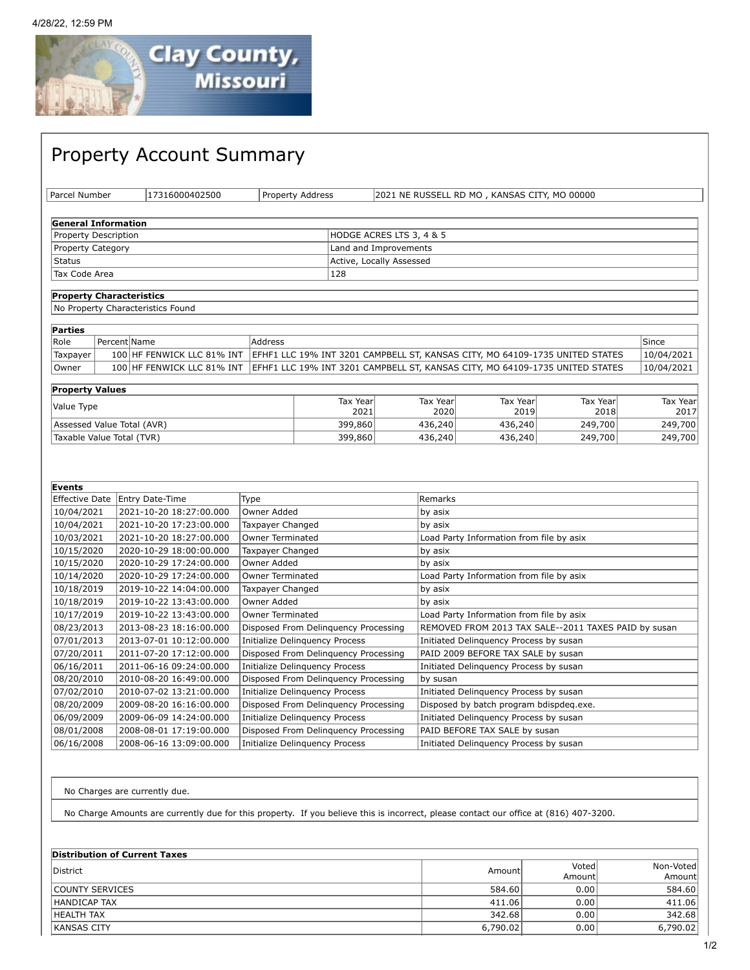

## Property Account Summary Parcel Number 17316000402500 Property Address 2021 NE RUSSELL RD MO , KANSAS CITY, MO 00000 **General Information** Property Description **HODGE ACRES LTS 3, 4 & 5** Property Category **Land and Improvements** Status **Active, Locally Assessed** Tax Code Area 2012 28 **Property Characteristics** No Property Characteristics Found **Parties** Role Percent|Name | Address | Address Since Percent | Address Since Percent | Since Percent | Since Percent | Since  $\lceil \texttt{Taxpayer} \rceil \quad$  100 HF FENWICK LLC 81% INT  $\lceil \texttt{EFF1} \rceil$  LLC 19% INT 3201 CAMPBELL ST, KANSAS CITY, MO 64109-1735 UNITED STATES  $\lceil \texttt{10/04/2021} \rceil$ Owner | 100 HF FENWICK LLC 81% INT EFHF1 LLC 19% INT 3201 CAMPBELL ST, KANSAS CITY, MO 64109-1735 UNITED STATES | 10/04/2021 **Property Values** value Type Tax Year and Tax Year and Tax Year and Tax Year and Tax Year and Tax Year and Tax Year and Tax Year 2021 Tax Year 2020 Tax Year 2019 Tax Year 2018 Tax Year 2017 Assessed Value Total (AVR) **399,860** 436,240 436,240 436,240 436,240 249,700 249,700 Taxable Value Total (TVR)  $\begin{array}{|c|c|c|c|c|c|c|c|}\n\hline\n\text{1436,240} & & & 436,240 & 436,240 & 249,700 & 249,700 \\
\hline\n\end{array}$ **Events** Effective Date | Entry Date-Time | Type | Nemarks | Remarks 10/04/2021 2021-10-20 18:27:00.000 Owner Added by asix 10/04/2021 2021-10-20 17:23:00.000 Taxpayer Changed by asix 10/03/2021 2021-10-20 18:27:00.000 Owner Terminated Load Party Information from file by asix 10/15/2020 2020-10-29 18:00:00.000 Taxpayer Changed by asix 10/15/2020 2020-10-29 17:24:00.000 Owner Added by asix 10/14/2020 2020-10-29 17:24:00.000 Owner Terminated Load Party Information from file by asix 10/18/2019 2019-10-22 14:04:00.000 Taxpayer Changed by asix 10/18/2019 2019-10-22 13:43:00.000 Owner Added by asix 10/17/2019 2019-10-22 13:43:00.000 Owner Terminated Load Party Information from file by asix 08/23/2013 2013-08-23 18:16:00.000 Disposed From Delinquency Processing REMOVED FROM 2013 TAX SALE--2011 TAXES PAID by susan 07/01/2013 2013-07-01 10:12:00.000 |Initialize Delinquency Process Initiated Delinquency Process by susan

| 07/01/2013 | 2013-07-01 10:12:00.000 | Initialize Delinguency Process       | Initiated Delinguency Process by susan  |
|------------|-------------------------|--------------------------------------|-----------------------------------------|
| 07/20/2011 | 2011-07-20 17:12:00.000 | Disposed From Delinguency Processing | PAID 2009 BEFORE TAX SALE by susan      |
| 06/16/2011 | 2011-06-16 09:24:00.000 | Initialize Delinguency Process       | Initiated Delinguency Process by susan  |
| 08/20/2010 | 2010-08-20 16:49:00.000 | Disposed From Delinguency Processing | by susan                                |
| 07/02/2010 | 2010-07-02 13:21:00.000 | Initialize Delinquency Process       | Initiated Delinguency Process by susan  |
| 08/20/2009 | 2009-08-20 16:16:00.000 | Disposed From Delinguency Processing | Disposed by batch program bdispdeq.exe. |
| 06/09/2009 | 2009-06-09 14:24:00.000 | Initialize Delinguency Process       | Initiated Delinguency Process by susan  |
| 08/01/2008 | 2008-08-01 17:19:00.000 | Disposed From Delinguency Processing | PAID BEFORE TAX SALE by susan           |
| 06/16/2008 | 2008-06-16 13:09:00.000 | Initialize Delinguency Process       | Initiated Delinguency Process by susan  |

No Charges are currently due.

No Charge Amounts are currently due for this property. If you believe this is incorrect, please contact our office at (816) 407-3200.

| Distribution of Current Taxes |                            |         |           |  |  |
|-------------------------------|----------------------------|---------|-----------|--|--|
| District                      | Voted<br>Amount<br>Amountl |         | Non-Voted |  |  |
|                               |                            | Amountl |           |  |  |
| <b>COUNTY SERVICES</b>        | 584.60                     | 0.00    | 584.60    |  |  |
| HANDICAP TAX                  | 411.06                     | 0.00    | 411.06    |  |  |
| HEALTH TAX                    | 342.68                     | 0.00    | 342.68    |  |  |
| <b>IKANSAS CITY</b>           | 6,790.02                   | 0.001   | 6,790.02  |  |  |